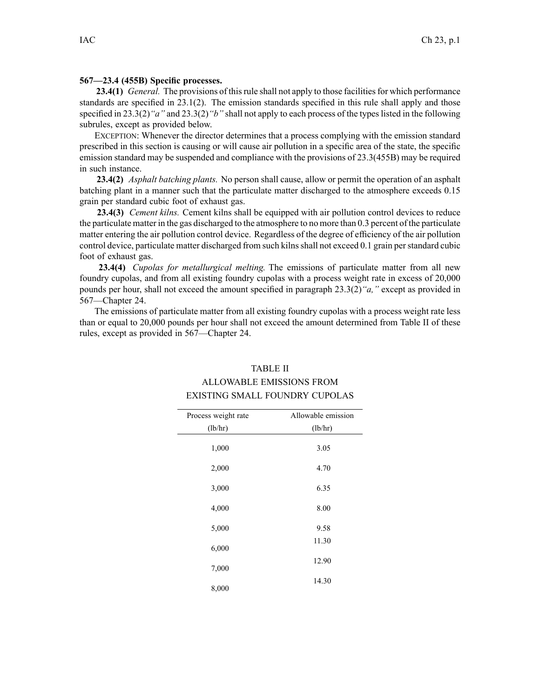## **567—23.4 (455B) Specific processes.**

**23.4(1)** *General.* The provisions of this rule shall not apply to those facilities for which performance standards are specified in 23.1(2). The emission standards specified in this rule shall apply and those specified in 23.3(2)*"a"* and 23.3(2)*"b"* shall not apply to each process of the typeslisted in the following subrules, excep<sup>t</sup> as provided below.

EXCEPTION: Whenever the director determines that <sup>a</sup> process complying with the emission standard prescribed in this section is causing or will cause air pollution in <sup>a</sup> specific area of the state, the specific emission standard may be suspended and compliance with the provisions of 23.3(455B) may be required in such instance.

**23.4(2)** *Asphalt batching plants.* No person shall cause, allow or permit the operation of an asphalt batching plant in <sup>a</sup> manner such that the particulate matter discharged to the atmosphere exceeds 0.15 grain per standard cubic foot of exhaust gas.

**23.4(3)** *Cement kilns.* Cement kilns shall be equipped with air pollution control devices to reduce the particulate matter in the gas discharged to the atmosphere to no more than 0.3 percen<sup>t</sup> of the particulate matter entering the air pollution control device. Regardless of the degree of efficiency of the air pollution control device, particulate matter discharged from such kilns shall not exceed 0.1 grain per standard cubic foot of exhaust gas.

**23.4(4)** *Cupolas for metallurgical melting.* The emissions of particulate matter from all new foundry cupolas, and from all existing foundry cupolas with <sup>a</sup> process weight rate in excess of 20,000 pounds per hour, shall not exceed the amount specified in paragraph 23.3(2)*"a,"* excep<sup>t</sup> as provided in 567—Chapter 24.

The emissions of particulate matter from all existing foundry cupolas with <sup>a</sup> process weight rate less than or equal to 20,000 pounds per hour shall not exceed the amount determined from Table II of these rules, excep<sup>t</sup> as provided in 567—Chapter 24.

## TABLE II

## ALLOWABLE EMISSIONS FROM EXISTING SMALL FOUNDRY CUPOLAS

| Process weight rate | Allowable emission |
|---------------------|--------------------|
| (lb/hr)             | (lb/hr)            |
| 1,000               | 3.05               |
| 2,000               | 4.70               |
| 3,000               | 6.35               |
| 4,000               | 8.00               |
| 5,000               | 9.58               |
| 6,000               | 11.30              |
| 7,000               | 12.90              |
| 8,000               | 14.30              |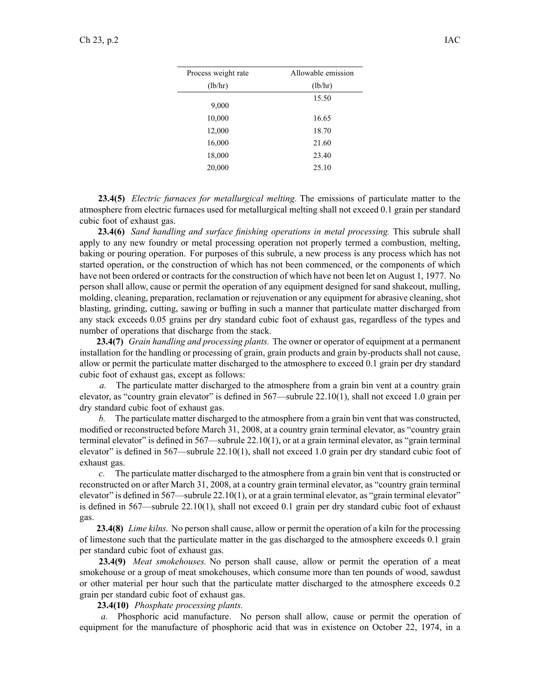| Process weight rate | Allowable emission |
|---------------------|--------------------|
| (lb/hr)             | (lb/hr)            |
| 9,000               | 15.50              |
| 10,000              | 16.65              |
| 12,000              | 18.70              |
| 16,000              | 21.60              |
| 18,000              | 23.40              |
| 20,000              | 25.10              |

**23.4(5)** *Electric furnaces for metallurgical melting.* The emissions of particulate matter to the atmosphere from electric furnaces used for metallurgical melting shall not exceed 0.1 grain per standard cubic foot of exhaust gas.

**23.4(6)** *Sand handling and surface finishing operations in metal processing.* This subrule shall apply to any new foundry or metal processing operation not properly termed <sup>a</sup> combustion, melting, baking or pouring operation. For purposes of this subrule, <sup>a</sup> new process is any process which has not started operation, or the construction of which has not been commenced, or the components of which have not been ordered or contracts for the construction of which have not been let on August 1, 1977. No person shall allow, cause or permit the operation of any equipment designed for sand shakeout, mulling, molding, cleaning, preparation, reclamation or rejuvenation or any equipment for abrasive cleaning, shot blasting, grinding, cutting, sawing or buffing in such <sup>a</sup> manner that particulate matter discharged from any stack exceeds 0.05 grains per dry standard cubic foot of exhaust gas, regardless of the types and number of operations that discharge from the stack.

**23.4(7)** *Grain handling and processing plants.* The owner or operator of equipment at <sup>a</sup> permanen<sup>t</sup> installation for the handling or processing of grain, grain products and grain by-products shall not cause, allow or permit the particulate matter discharged to the atmosphere to exceed 0.1 grain per dry standard cubic foot of exhaust gas, excep<sup>t</sup> as follows:

*a.* The particulate matter discharged to the atmosphere from <sup>a</sup> grain bin vent at <sup>a</sup> country grain elevator, as "country grain elevator" is defined in 567—subrule 22.10(1), shall not exceed 1.0 grain per dry standard cubic foot of exhaust gas.

*b.* The particulate matter discharged to the atmosphere from <sup>a</sup> grain bin vent that was constructed, modified or reconstructed before March 31, 2008, at <sup>a</sup> country grain terminal elevator, as "country grain terminal elevator" is defined in 567—subrule 22.10(1), or at <sup>a</sup> grain terminal elevator, as "grain terminal elevator" is defined in 567—subrule 22.10(1), shall not exceed 1.0 grain per dry standard cubic foot of exhaust gas.

*c.* The particulate matter discharged to the atmosphere from <sup>a</sup> grain bin vent that is constructed or reconstructed on or after March 31, 2008, at <sup>a</sup> country grain terminal elevator, as "country grain terminal elevator" is defined in  $567$ —subrule  $22.10(1)$ , or at a grain terminal elevator, as "grain terminal elevator" is defined in 567—subrule 22.10(1), shall not exceed 0.1 grain per dry standard cubic foot of exhaust gas.

**23.4(8)** *Lime kilns.* No person shall cause, allow or permit the operation of <sup>a</sup> kiln for the processing of limestone such that the particulate matter in the gas discharged to the atmosphere exceeds 0.1 grain per standard cubic foot of exhaust gas.

**23.4(9)** *Meat smokehouses.* No person shall cause, allow or permit the operation of <sup>a</sup> meat smokehouse or <sup>a</sup> group of meat smokehouses, which consume more than ten pounds of wood, sawdust or other material per hour such that the particulate matter discharged to the atmosphere exceeds 0.2 grain per standard cubic foot of exhaust gas.

**23.4(10)** *Phosphate processing plants.*

*a.* Phosphoric acid manufacture. No person shall allow, cause or permit the operation of equipment for the manufacture of phosphoric acid that was in existence on October 22, 1974, in <sup>a</sup>